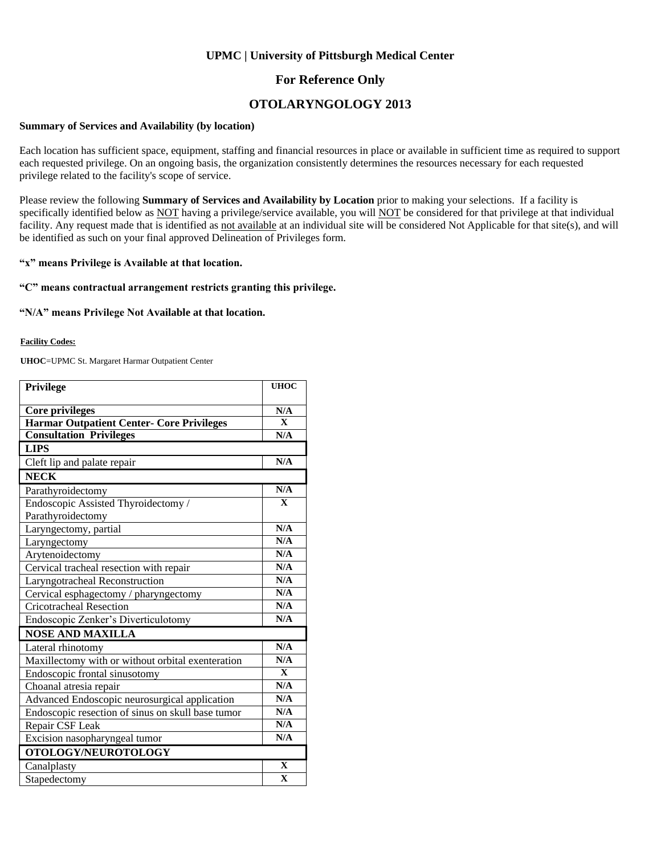### **UPMC | University of Pittsburgh Medical Center**

### **For Reference Only**

## **OTOLARYNGOLOGY 2013**

#### **Summary of Services and Availability (by location)**

Each location has sufficient space, equipment, staffing and financial resources in place or available in sufficient time as required to support each requested privilege. On an ongoing basis, the organization consistently determines the resources necessary for each requested privilege related to the facility's scope of service.

Please review the following **Summary of Services and Availability by Location** prior to making your selections. If a facility is specifically identified below as NOT having a privilege/service available, you will NOT be considered for that privilege at that individual facility. Any request made that is identified as not available at an individual site will be considered Not Applicable for that site(s), and will be identified as such on your final approved Delineation of Privileges form.

#### **"x" means Privilege is Available at that location.**

#### **"C" means contractual arrangement restricts granting this privilege.**

#### **"N/A" means Privilege Not Available at that location.**

#### **Facility Codes:**

**UHOC**=UPMC St. Margaret Harmar Outpatient Center

| <b>Privilege</b>                                  | <b>UHOC</b>             |
|---------------------------------------------------|-------------------------|
| <b>Core privileges</b>                            | N/A                     |
| <b>Harmar Outpatient Center- Core Privileges</b>  | $\mathbf{X}$            |
| <b>Consultation Privileges</b>                    | N/A                     |
| <b>LIPS</b>                                       |                         |
| Cleft lip and palate repair                       | N/A                     |
| <b>NECK</b>                                       |                         |
| Parathyroidectomy                                 | N/A                     |
| Endoscopic Assisted Thyroidectomy /               | $\mathbf{x}$            |
| Parathyroidectomy                                 |                         |
| Laryngectomy, partial                             | N/A                     |
| Laryngectomy                                      | N/A                     |
| Arytenoidectomy                                   | N/A                     |
| Cervical tracheal resection with repair           | N/A                     |
| Laryngotracheal Reconstruction                    | N/A                     |
| Cervical esphagectomy / pharyngectomy             | N/A                     |
| <b>Cricotracheal Resection</b>                    | N/A                     |
| Endoscopic Zenker's Diverticulotomy               | N/A                     |
| <b>NOSE AND MAXILLA</b>                           |                         |
| Lateral rhinotomy                                 | N/A                     |
| Maxillectomy with or without orbital exenteration | N/A                     |
| Endoscopic frontal sinusotomy                     | $\mathbf{X}$            |
| Choanal atresia repair                            | N/A                     |
| Advanced Endoscopic neurosurgical application     | N/A                     |
| Endoscopic resection of sinus on skull base tumor | N/A                     |
| Repair CSF Leak                                   | N/A                     |
| Excision nasopharyngeal tumor                     | N/A                     |
| OTOLOGY/NEUROTOLOGY                               |                         |
| Canalplasty                                       | $\mathbf X$             |
| Stapedectomy                                      | $\overline{\mathbf{X}}$ |